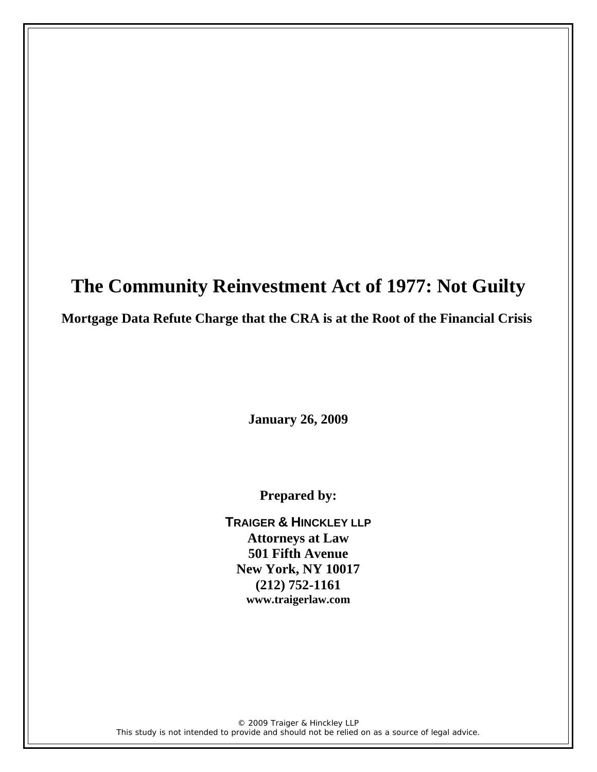# **The Community Reinvestment Act of 1977: Not Guilty**

# **Mortgage Data Refute Charge that the CRA is at the Root of the Financial Crisis**

**January 26, 2009** 

**Prepared by:** 

**TRAIGER & HINCKLEY LLP Attorneys at Law 501 Fifth Avenue New York, NY 10017 (212) 752-1161 www.traigerlaw.com**

© 2009 Traiger & Hinckley LLP *This study is not intended to provide and should not be relied on as a source of legal advice.*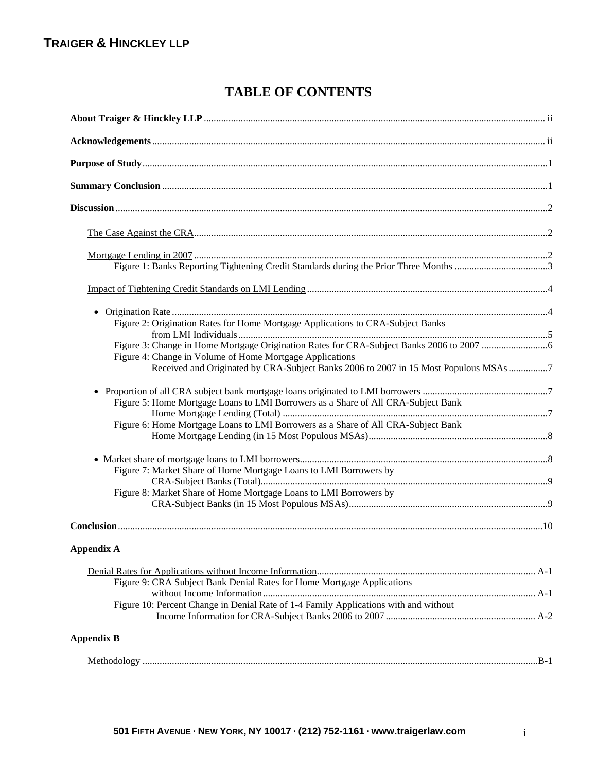# **TABLE OF CONTENTS**

| Figure 2: Origination Rates for Home Mortgage Applications to CRA-Subject Banks                                                                  |  |
|--------------------------------------------------------------------------------------------------------------------------------------------------|--|
|                                                                                                                                                  |  |
| Figure 4: Change in Volume of Home Mortgage Applications<br>Received and Originated by CRA-Subject Banks 2006 to 2007 in 15 Most Populous MSAs 7 |  |
| Figure 5: Home Mortgage Loans to LMI Borrowers as a Share of All CRA-Subject Bank                                                                |  |
| Figure 6: Home Mortgage Loans to LMI Borrowers as a Share of All CRA-Subject Bank                                                                |  |
|                                                                                                                                                  |  |
| Figure 7: Market Share of Home Mortgage Loans to LMI Borrowers by                                                                                |  |
| Figure 8: Market Share of Home Mortgage Loans to LMI Borrowers by                                                                                |  |
|                                                                                                                                                  |  |
| <b>Appendix A</b>                                                                                                                                |  |
|                                                                                                                                                  |  |
| Figure 9: CRA Subject Bank Denial Rates for Home Mortgage Applications                                                                           |  |
| Figure 10: Percent Change in Denial Rate of 1-4 Family Applications with and without                                                             |  |
| <b>Appendix B</b>                                                                                                                                |  |
|                                                                                                                                                  |  |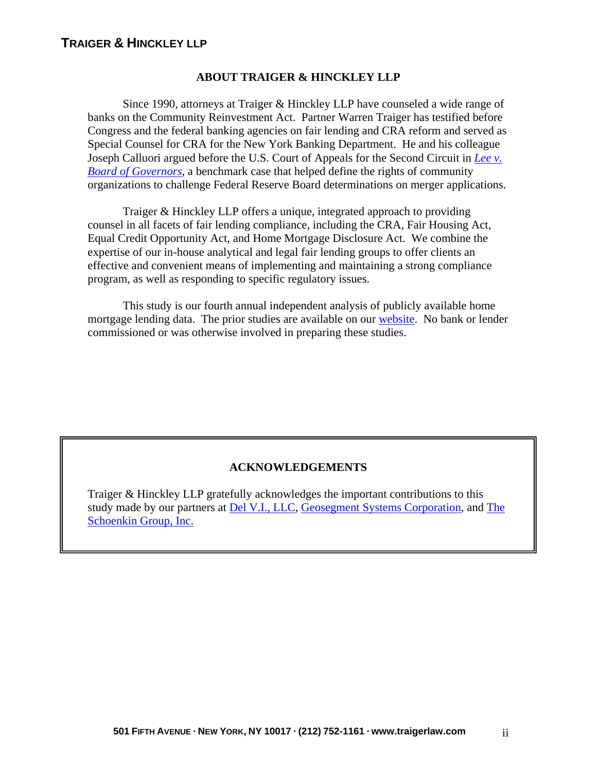### **ABOUT TRAIGER & HINCKLEY LLP**

Since 1990, attorneys at Traiger & Hinckley LLP have counseled a wide range of banks on the Community Reinvestment Act. Partner Warren Traiger has testified before Congress and the federal banking agencies on fair lending and CRA reform and served as Special Counsel for CRA for the New York Banking Department. He and his colleague Joseph Calluori argued before the U.S. Court of Appeals for the Second Circuit in *[Lee v.](http://caselaw.lp.findlaw.com/scripts/printer_friendly.pl?page=2nd/954134.html)  [Board of Governors](http://caselaw.lp.findlaw.com/scripts/printer_friendly.pl?page=2nd/954134.html)*, a benchmark case that helped define the rights of community organizations to challenge Federal Reserve Board determinations on merger applications.

Traiger & Hinckley LLP offers a unique, integrated approach to providing counsel in all facets of fair lending compliance, including the CRA, Fair Housing Act, Equal Credit Opportunity Act, and Home Mortgage Disclosure Act. We combine the expertise of our in-house analytical and legal fair lending groups to offer clients an effective and convenient means of implementing and maintaining a strong compliance program, as well as responding to specific regulatory issues.

This study is our fourth annual independent analysis of publicly available home mortgage lending data. The prior studies are available on ou[r website.](http://www.traigerlaw.com/index.php) No bank or lender commissioned or was otherwise involved in preparing these studies.

### **ACKNOWLEDGEMENTS**

Traiger & Hinckley LLP gratefully acknowledges the important contributions to this study made by our partners at [Del V.I., LLC,](http://del-v-i.com/) [Geosegment Systems Corporation,](http://www.geosegment.com/) an[d The](http://theschoenkingroup.com/)  [Schoenkin Group, Inc.](http://theschoenkingroup.com/)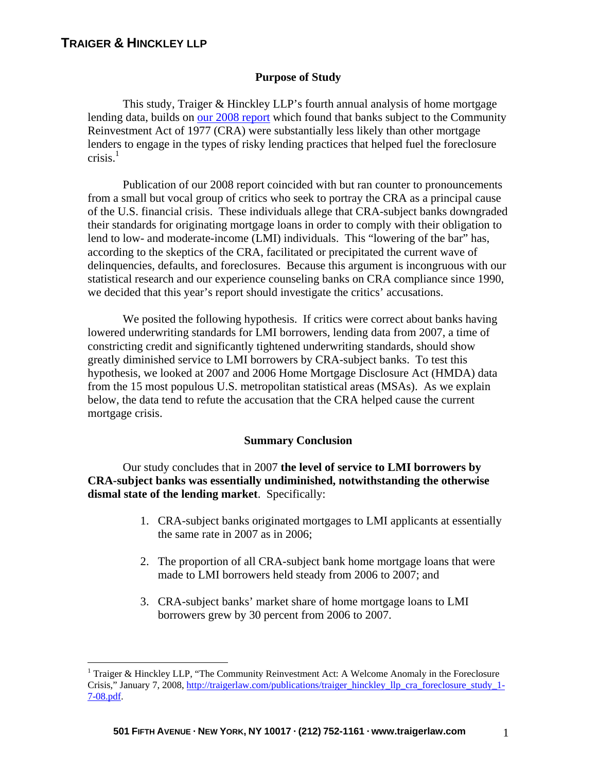$\overline{a}$ 

#### **Purpose of Study**

This study, Traiger & Hinckley LLP's fourth annual analysis of home mortgage lending data, builds o[n our 2008 report w](http://www.traigerlaw.com/publications/traiger_hinckley_llp_cra_foreclosure_study_1-7-08.pdf)hich found that banks subject to the Community Reinvestment Act of 1977 (CRA) were substantially less likely than other mortgage lenders to engage in the types of risky lending practices that helped fuel the foreclosure crisis. $1$ 

Publication of our 2008 report coincided with but ran counter to pronouncements from a small but vocal group of critics who seek to portray the CRA as a principal cause of the U.S. financial crisis. These individuals allege that CRA-subject banks downgraded their standards for originating mortgage loans in order to comply with their obligation to lend to low- and moderate-income (LMI) individuals. This "lowering of the bar" has, according to the skeptics of the CRA, facilitated or precipitated the current wave of delinquencies, defaults, and foreclosures. Because this argument is incongruous with our statistical research and our experience counseling banks on CRA compliance since 1990, we decided that this year's report should investigate the critics' accusations.

We posited the following hypothesis. If critics were correct about banks having lowered underwriting standards for LMI borrowers, lending data from 2007, a time of constricting credit and significantly tightened underwriting standards, should show greatly diminished service to LMI borrowers by CRA-subject banks. To test this hypothesis, we looked at 2007 and 2006 Home Mortgage Disclosure Act (HMDA) data from the 15 most populous U.S. metropolitan statistical areas (MSAs). As we explain below, the data tend to refute the accusation that the CRA helped cause the current mortgage crisis.

#### **Summary Conclusion**

Our study concludes that in 2007 **the level of service to LMI borrowers by CRA-subject banks was essentially undiminished, notwithstanding the otherwise dismal state of the lending market**. Specifically:

- 1. CRA-subject banks originated mortgages to LMI applicants at essentially the same rate in 2007 as in 2006;
- 2. The proportion of all CRA-subject bank home mortgage loans that were made to LMI borrowers held steady from 2006 to 2007; and
- 3. CRA-subject banks' market share of home mortgage loans to LMI borrowers grew by 30 percent from 2006 to 2007.

<sup>&</sup>lt;sup>1</sup> Traiger & Hinckley LLP, "The Community Reinvestment Act: A Welcome Anomaly in the Foreclosure Crisis," January 7, 2008, http://traigerlaw.com/publications/traiger\_hinckley\_llp\_cra\_foreclosure\_study\_1- 7-08.pdf.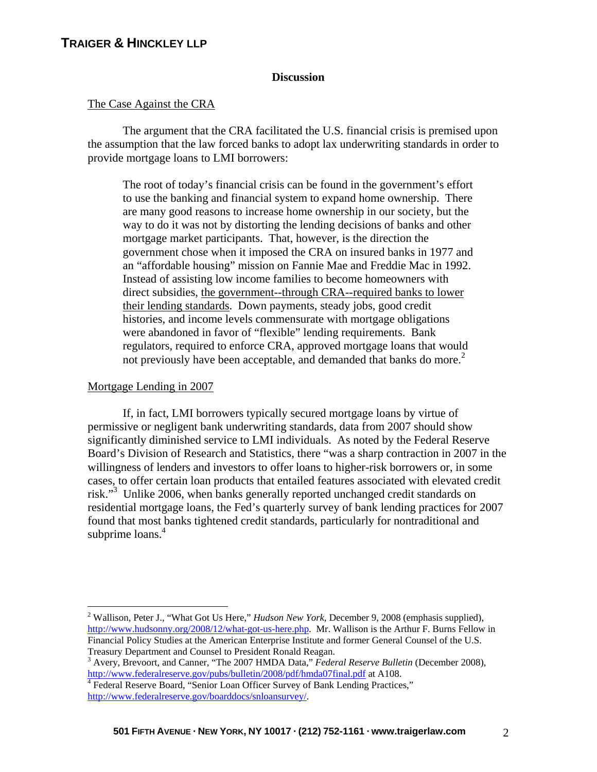#### **Discussion**

#### The Case Against the CRA

The argument that the CRA facilitated the U.S. financial crisis is premised upon the assumption that the law forced banks to adopt lax underwriting standards in order to provide mortgage loans to LMI borrowers:

The root of today's financial crisis can be found in the government's effort to use the banking and financial system to expand home ownership. There are many good reasons to increase home ownership in our society, but the way to do it was not by distorting the lending decisions of banks and other mortgage market participants. That, however, is the direction the government chose when it imposed the CRA on insured banks in 1977 and an "affordable housing" mission on Fannie Mae and Freddie Mac in 1992. Instead of assisting low income families to become homeowners with direct subsidies, the government--through CRA--required banks to lower their lending standards. Down payments, steady jobs, good credit histories, and income levels commensurate with mortgage obligations were abandoned in favor of "flexible" lending requirements. Bank regulators, required to enforce CRA, approved mortgage loans that would not previously have been acceptable, and demanded that banks do more.<sup>2</sup>

#### Mortgage Lending in 2007

1

If, in fact, LMI borrowers typically secured mortgage loans by virtue of permissive or negligent bank underwriting standards, data from 2007 should show significantly diminished service to LMI individuals. As noted by the Federal Reserve Board's Division of Research and Statistics, there "was a sharp contraction in 2007 in the willingness of lenders and investors to offer loans to higher-risk borrowers or, in some cases, to offer certain loan products that entailed features associated with elevated credit risk."3 Unlike 2006, when banks generally reported unchanged credit standards on residential mortgage loans, the Fed's quarterly survey of bank lending practices for 2007 found that most banks tightened credit standards, particularly for nontraditional and subprime loans.<sup>4</sup>

<sup>2</sup> Wallison, Peter J., "What Got Us Here," *Hudson New York*, December 9, 2008 (emphasis supplied), http://www.hudsonny.org/2008/12/what-got-us-here.php. Mr. Wallison is the Arthur F. Burns Fellow in Financial Policy Studies at the American Enterprise Institute and former General Counsel of the U.S. Treasury Department and Counsel to President Ronald Reagan.

<sup>3</sup> Avery, Brevoort, and Canner, "The 2007 HMDA Data," *Federal Reserve Bulletin* (December 2008)*,*  http://www.federalreserve.gov/pubs/bulletin/2008/pdf/hmda07final.pdf at A108.

<sup>&</sup>lt;sup>4</sup> Federal Reserve Board, "Senior Loan Officer Survey of Bank Lending Practices," http://www.federalreserve.gov/boarddocs/snloansurvey/.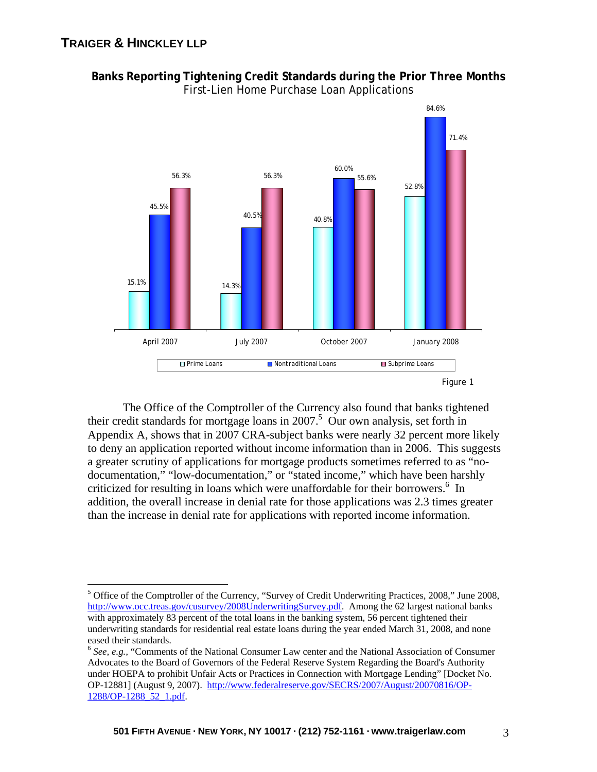

**Banks Reporting Tightening Credit Standards during the Prior Three Months**  First-Lien Home Purchase Loan Applications

The Office of the Comptroller of the Currency also found that banks tightened their credit standards for mortgage loans in 2007.<sup>5</sup> Our own analysis, set forth in Appendix A, shows that in 2007 CRA-subject banks were nearly 32 percent more likely to deny an application reported without income information than in 2006. This suggests a greater scrutiny of applications for mortgage products sometimes referred to as "nodocumentation," "low-documentation," or "stated income," which have been harshly criticized for resulting in loans which were unaffordable for their borrowers.<sup>6</sup> In addition, the overall increase in denial rate for those applications was 2.3 times greater than the increase in denial rate for applications with reported income information.

 $\overline{a}$ <sup>5</sup> Office of the Comptroller of the Currency, "Survey of Credit Underwriting Practices, 2008," June 2008, http://www.occ.treas.gov/cusurvey/2008UnderwritingSurvey.pdf. Among the 62 largest national banks with approximately 83 percent of the total loans in the banking system, 56 percent tightened their underwriting standards for residential real estate loans during the year ended March 31, 2008, and none eased their standards.

<sup>6</sup> *See, e.g.,* "Comments of the National Consumer Law center and the National Association of Consumer Advocates to the Board of Governors of the Federal Reserve System Regarding the Board's Authority under HOEPA to prohibit Unfair Acts or Practices in Connection with Mortgage Lending" [Docket No. OP-12881] (August 9, 2007). http://www.federalreserve.gov/SECRS/2007/August/20070816/OP-1288/OP-1288\_52\_1.pdf.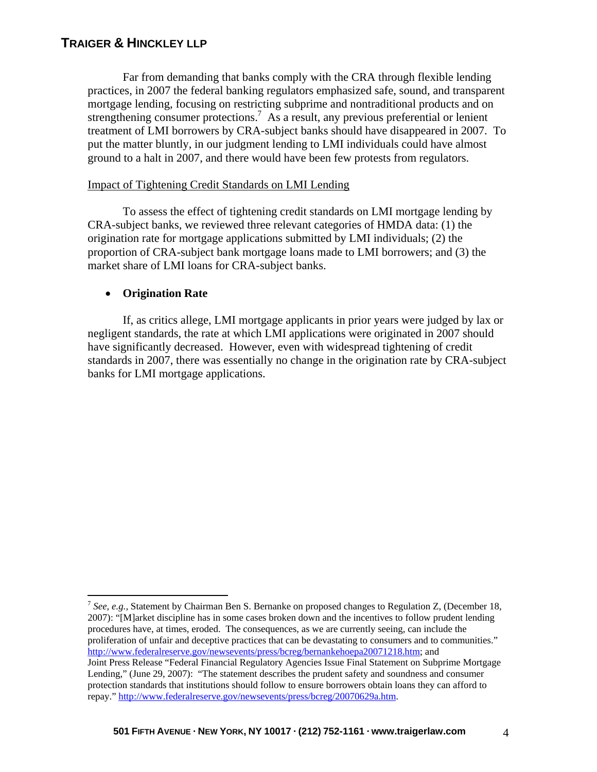Far from demanding that banks comply with the CRA through flexible lending practices, in 2007 the federal banking regulators emphasized safe, sound, and transparent mortgage lending, focusing on restricting subprime and nontraditional products and on strengthening consumer protections.<sup>7</sup> As a result, any previous preferential or lenient treatment of LMI borrowers by CRA-subject banks should have disappeared in 2007. To put the matter bluntly, in our judgment lending to LMI individuals could have almost ground to a halt in 2007, and there would have been few protests from regulators.

### Impact of Tightening Credit Standards on LMI Lending

To assess the effect of tightening credit standards on LMI mortgage lending by CRA-subject banks, we reviewed three relevant categories of HMDA data: (1) the origination rate for mortgage applications submitted by LMI individuals; (2) the proportion of CRA-subject bank mortgage loans made to LMI borrowers; and (3) the market share of LMI loans for CRA-subject banks.

#### • **Origination Rate**

 $\overline{a}$ 

If, as critics allege, LMI mortgage applicants in prior years were judged by lax or negligent standards, the rate at which LMI applications were originated in 2007 should have significantly decreased. However, even with widespread tightening of credit standards in 2007, there was essentially no change in the origination rate by CRA-subject banks for LMI mortgage applications.

<sup>7</sup> *See, e.g.,* Statement by Chairman Ben S. Bernanke on proposed changes to Regulation Z, (December 18, 2007): "[M]arket discipline has in some cases broken down and the incentives to follow prudent lending procedures have, at times, eroded. The consequences, as we are currently seeing, can include the proliferation of unfair and deceptive practices that can be devastating to consumers and to communities." http://www.federalreserve.gov/newsevents/press/bcreg/bernankehoepa20071218.htm; and Joint Press Release "Federal Financial Regulatory Agencies Issue Final Statement on Subprime Mortgage Lending," (June 29, 2007): "The statement describes the prudent safety and soundness and consumer protection standards that institutions should follow to ensure borrowers obtain loans they can afford to repay." http://www.federalreserve.gov/newsevents/press/bcreg/20070629a.htm.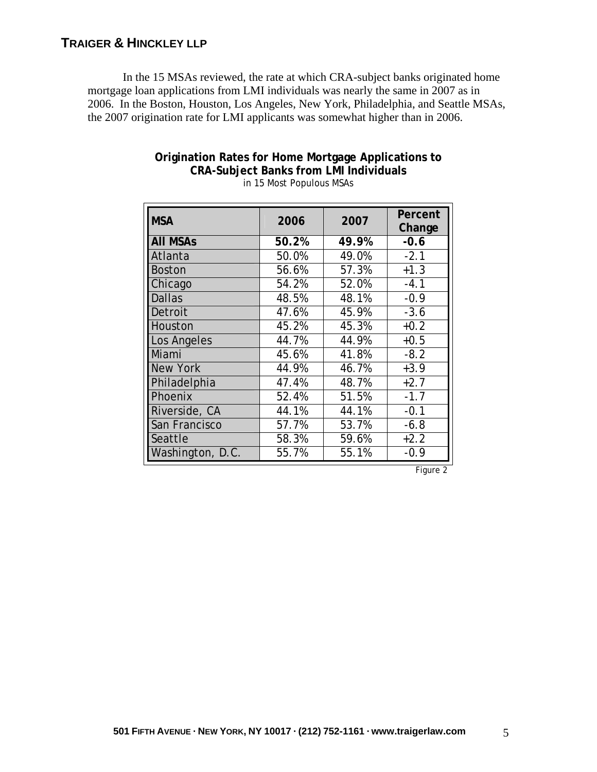In the 15 MSAs reviewed, the rate at which CRA-subject banks originated home mortgage loan applications from LMI individuals was nearly the same in 2007 as in 2006. In the Boston, Houston, Los Angeles, New York, Philadelphia, and Seattle MSAs, the 2007 origination rate for LMI applicants was somewhat higher than in 2006.

| <b>MSA</b>       | 2006  | 2007  | Percent<br>Change |
|------------------|-------|-------|-------------------|
| <b>AII MSAs</b>  | 50.2% | 49.9% | $-0.6$            |
| Atlanta          | 50.0% | 49.0% | $-2.1$            |
| <b>Boston</b>    | 56.6% | 57.3% | $+1.3$            |
| Chicago          | 54.2% | 52.0% | $-4.1$            |
| <b>Dallas</b>    | 48.5% | 48.1% | $-0.9$            |
| Detroit          | 47.6% | 45.9% | $-3.6$            |
| Houston          | 45.2% | 45.3% | $+0.2$            |
| Los Angeles      | 44.7% | 44.9% | $+0.5$            |
| Miami            | 45.6% | 41.8% | $-8.2$            |
| <b>New York</b>  | 44.9% | 46.7% | $+3.9$            |
| Philadelphia     | 47.4% | 48.7% | $+2.7$            |
| Phoenix          | 52.4% | 51.5% | $-1.7$            |
| Riverside, CA    | 44.1% | 44.1% | $-0.1$            |
| San Francisco    | 57.7% | 53.7% | $-6.8$            |
| Seattle          | 58.3% | 59.6% | $+2.2$            |
| Washington, D.C. | 55.7% | 55.1% | $-0.9$            |

# **Origination Rates for Home Mortgage Applications to CRA-Subject Banks from LMI Individuals**

in 15 Most Populous MSAs

Figure 2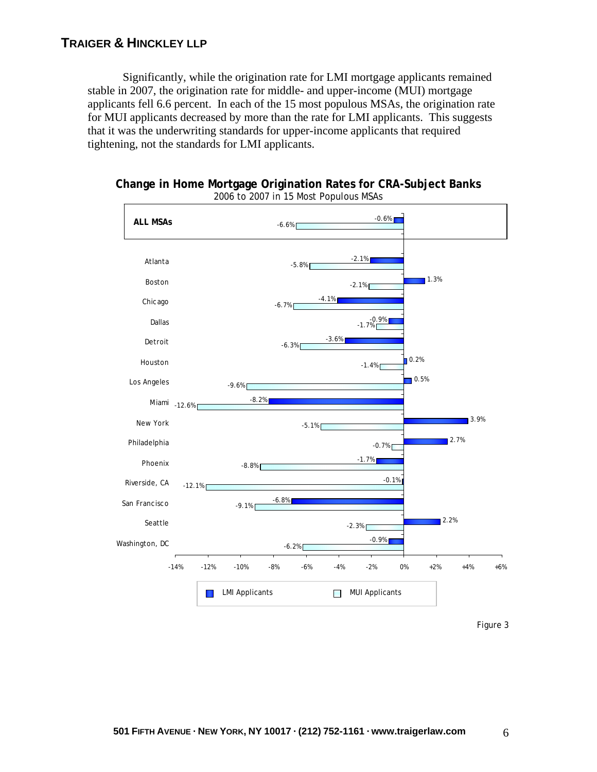Significantly, while the origination rate for LMI mortgage applicants remained stable in 2007, the origination rate for middle- and upper-income (MUI) mortgage applicants fell 6.6 percent. In each of the 15 most populous MSAs, the origination rate for MUI applicants decreased by more than the rate for LMI applicants. This suggests that it was the underwriting standards for upper-income applicants that required tightening, not the standards for LMI applicants.



**Change in Home Mortgage Origination Rates for CRA-Subject Banks** 2006 to 2007 in 15 Most Populous MSAs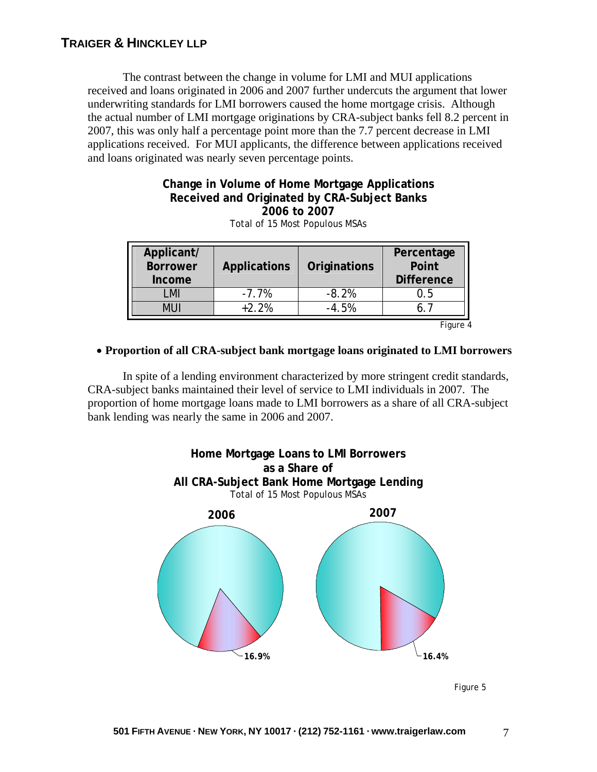The contrast between the change in volume for LMI and MUI applications received and loans originated in 2006 and 2007 further undercuts the argument that lower underwriting standards for LMI borrowers caused the home mortgage crisis. Although the actual number of LMI mortgage originations by CRA-subject banks fell 8.2 percent in 2007, this was only half a percentage point more than the 7.7 percent decrease in LMI applications received. For MUI applicants, the difference between applications received and loans originated was nearly seven percentage points.

# **Change in Volume of Home Mortgage Applications Received and Originated by CRA-Subject Banks 2006 to 2007**

| Applicant/<br><b>Borrower</b><br>Income | <b>Applications</b> | Originations | Percentage<br>Point<br><b>Difference</b> |
|-----------------------------------------|---------------------|--------------|------------------------------------------|
| MI                                      | $-7.7%$             | $-8.2%$      | ს. 5                                     |
|                                         | $+2.2%$             | $-4.5%$      |                                          |
|                                         |                     |              | Figure 4                                 |

Total of 15 Most Populous MSAs

### • **Proportion of all CRA-subject bank mortgage loans originated to LMI borrowers**

In spite of a lending environment characterized by more stringent credit standards, CRA-subject banks maintained their level of service to LMI individuals in 2007. The proportion of home mortgage loans made to LMI borrowers as a share of all CRA-subject bank lending was nearly the same in 2006 and 2007.



Figure 5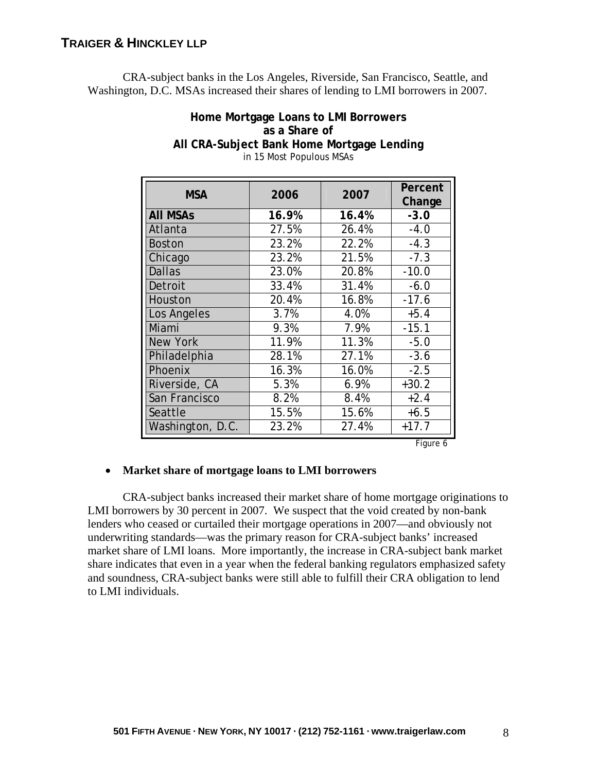CRA-subject banks in the Los Angeles, Riverside, San Francisco, Seattle, and Washington, D.C. MSAs increased their shares of lending to LMI borrowers in 2007.

| in 15 Most Populous MSAs |       |       |                   |
|--------------------------|-------|-------|-------------------|
| <b>MSA</b>               | 2006  | 2007  | Percent<br>Change |
| <b>AII MSAs</b>          | 16.9% | 16.4% | $-3.0$            |
| Atlanta                  | 27.5% | 26.4% | $-4.0$            |
| <b>Boston</b>            | 23.2% | 22.2% | $-4.3$            |
| Chicago                  | 23.2% | 21.5% | $-7.3$            |
| <b>Dallas</b>            | 23.0% | 20.8% | $-10.0$           |
| Detroit                  | 33.4% | 31.4% | $-6.0$            |
| Houston                  | 20.4% | 16.8% | $-17.6$           |
| Los Angeles              | 3.7%  | 4.0%  | $+5.4$            |
| Miami                    | 9.3%  | 7.9%  | $-15.1$           |
| <b>New York</b>          | 11.9% | 11.3% | $-5.0$            |
| Philadelphia             | 28.1% | 27.1% | $-3.6$            |
| Phoenix                  | 16.3% | 16.0% | $-2.5$            |
| Riverside, CA            | 5.3%  | 6.9%  | $+30.2$           |
| San Francisco            | 8.2%  | 8.4%  | $+2.4$            |
| Seattle                  | 15.5% | 15.6% | $+6.5$            |
| Washington, D.C.         | 23.2% | 27.4% | $+17.7$           |

# **Home Mortgage Loans to LMI Borrowers as a Share of All CRA-Subject Bank Home Mortgage Lending**

Figure 6

### • **Market share of mortgage loans to LMI borrowers**

CRA-subject banks increased their market share of home mortgage originations to LMI borrowers by 30 percent in 2007. We suspect that the void created by non-bank lenders who ceased or curtailed their mortgage operations in 2007—and obviously not underwriting standards—was the primary reason for CRA-subject banks' increased market share of LMI loans. More importantly, the increase in CRA-subject bank market share indicates that even in a year when the federal banking regulators emphasized safety and soundness, CRA-subject banks were still able to fulfill their CRA obligation to lend to LMI individuals.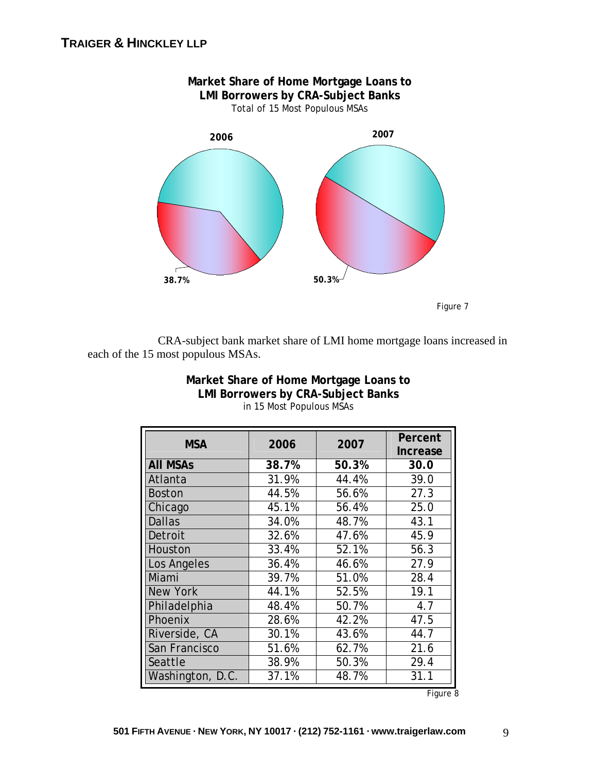

 CRA-subject bank market share of LMI home mortgage loans increased in each of the 15 most populous MSAs.

| <b>MSA</b>       | 2006  | 2007  | Percent<br>Increase |
|------------------|-------|-------|---------------------|
| <b>AII MSAs</b>  | 38.7% | 50.3% | 30.0                |
| Atlanta          | 31.9% | 44.4% | 39.0                |
| <b>Boston</b>    | 44.5% | 56.6% | 27.3                |
| Chicago          | 45.1% | 56.4% | 25.0                |
| <b>Dallas</b>    | 34.0% | 48.7% | 43.1                |
| Detroit          | 32.6% | 47.6% | 45.9                |
| Houston          | 33.4% | 52.1% | 56.3                |
| Los Angeles      | 36.4% | 46.6% | 27.9                |
| Miami            | 39.7% | 51.0% | 28.4                |
| <b>New York</b>  | 44.1% | 52.5% | 19.1                |
| Philadelphia     | 48.4% | 50.7% | 4.7                 |
| Phoenix          | 28.6% | 42.2% | 47.5                |
| Riverside, CA    | 30.1% | 43.6% | 44.7                |
| San Francisco    | 51.6% | 62.7% | 21.6                |
| Seattle          | 38.9% | 50.3% | 29.4                |
| Washington, D.C. | 37.1% | 48.7% | 31.1                |

### **Market Share of Home Mortgage Loans to LMI Borrowers by CRA-Subject Banks**  in 15 Most Populous MSAs

Figure 8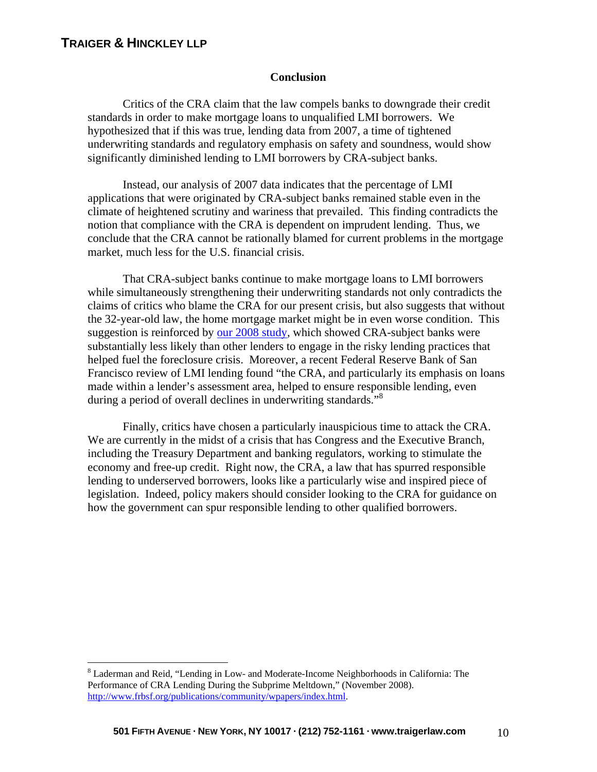$\overline{a}$ 

#### **Conclusion**

Critics of the CRA claim that the law compels banks to downgrade their credit standards in order to make mortgage loans to unqualified LMI borrowers. We hypothesized that if this was true, lending data from 2007, a time of tightened underwriting standards and regulatory emphasis on safety and soundness, would show significantly diminished lending to LMI borrowers by CRA-subject banks.

Instead, our analysis of 2007 data indicates that the percentage of LMI applications that were originated by CRA-subject banks remained stable even in the climate of heightened scrutiny and wariness that prevailed. This finding contradicts the notion that compliance with the CRA is dependent on imprudent lending. Thus, we conclude that the CRA cannot be rationally blamed for current problems in the mortgage market, much less for the U.S. financial crisis.

That CRA-subject banks continue to make mortgage loans to LMI borrowers while simultaneously strengthening their underwriting standards not only contradicts the claims of critics who blame the CRA for our present crisis, but also suggests that without the 32-year-old law, the home mortgage market might be in even worse condition. This suggestion is reinforced b[y our 2008 study, w](http://www.traigerlaw.com/publications/traiger_hinckley_llp_cra_foreclosure_study_1-7-08.pdf)hich showed CRA-subject banks were substantially less likely than other lenders to engage in the risky lending practices that helped fuel the foreclosure crisis. Moreover, a recent Federal Reserve Bank of San Francisco review of LMI lending found "the CRA, and particularly its emphasis on loans made within a lender's assessment area, helped to ensure responsible lending, even during a period of overall declines in underwriting standards."<sup>8</sup>

Finally, critics have chosen a particularly inauspicious time to attack the CRA. We are currently in the midst of a crisis that has Congress and the Executive Branch, including the Treasury Department and banking regulators, working to stimulate the economy and free-up credit. Right now, the CRA, a law that has spurred responsible lending to underserved borrowers, looks like a particularly wise and inspired piece of legislation. Indeed, policy makers should consider looking to the CRA for guidance on how the government can spur responsible lending to other qualified borrowers.

<sup>&</sup>lt;sup>8</sup> Laderman and Reid, "Lending in Low- and Moderate-Income Neighborhoods in California: The Performance of CRA Lending During the Subprime Meltdown," (November 2008). http://www.frbsf.org/publications/community/wpapers/index.html.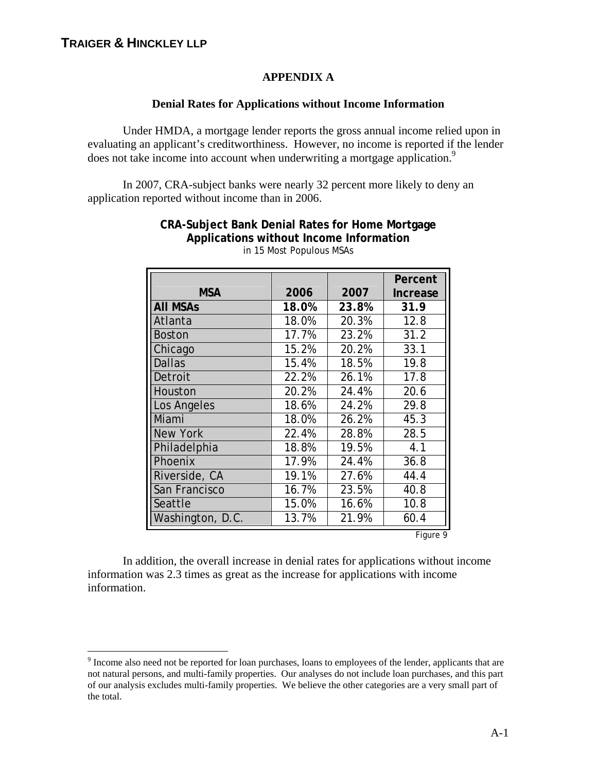$\overline{a}$ 

### **APPENDIX A**

### **Denial Rates for Applications without Income Information**

Under HMDA, a mortgage lender reports the gross annual income relied upon in evaluating an applicant's creditworthiness. However, no income is reported if the lender does not take income into account when underwriting a mortgage application.<sup>9</sup>

In 2007, CRA-subject banks were nearly 32 percent more likely to deny an application reported without income than in 2006.

|                  |       |       | Percent         |
|------------------|-------|-------|-----------------|
| <b>MSA</b>       | 2006  | 2007  | <b>Increase</b> |
| <b>All MSAs</b>  | 18.0% | 23.8% | 31.9            |
| Atlanta          | 18.0% | 20.3% | 12.8            |
| <b>Boston</b>    | 17.7% | 23.2% | 31.2            |
| Chicago          | 15.2% | 20.2% | 33.1            |
| <b>Dallas</b>    | 15.4% | 18.5% | 19.8            |
| Detroit          | 22.2% | 26.1% | 17.8            |
| Houston          | 20.2% | 24.4% | 20.6            |
| Los Angeles      | 18.6% | 24.2% | 29.8            |
| Miami            | 18.0% | 26.2% | 45.3            |
| <b>New York</b>  | 22.4% | 28.8% | 28.5            |
| Philadelphia     | 18.8% | 19.5% | 4.1             |
| Phoenix          | 17.9% | 24.4% | 36.8            |
| Riverside, CA    | 19.1% | 27.6% | 44.4            |
| San Francisco    | 16.7% | 23.5% | 40.8            |
| Seattle          | 15.0% | 16.6% | 10.8            |
| Washington, D.C. | 13.7% | 21.9% | 60.4            |

**CRA-Subject Bank Denial Rates for Home Mortgage Applications without Income Information**  in 15 Most Populous MSAs

Figure 9

In addition, the overall increase in denial rates for applications without income information was 2.3 times as great as the increase for applications with income information.

<sup>&</sup>lt;sup>9</sup> Income also need not be reported for loan purchases, loans to employees of the lender, applicants that are not natural persons, and multi-family properties. Our analyses do not include loan purchases, and this part of our analysis excludes multi-family properties. We believe the other categories are a very small part of the total.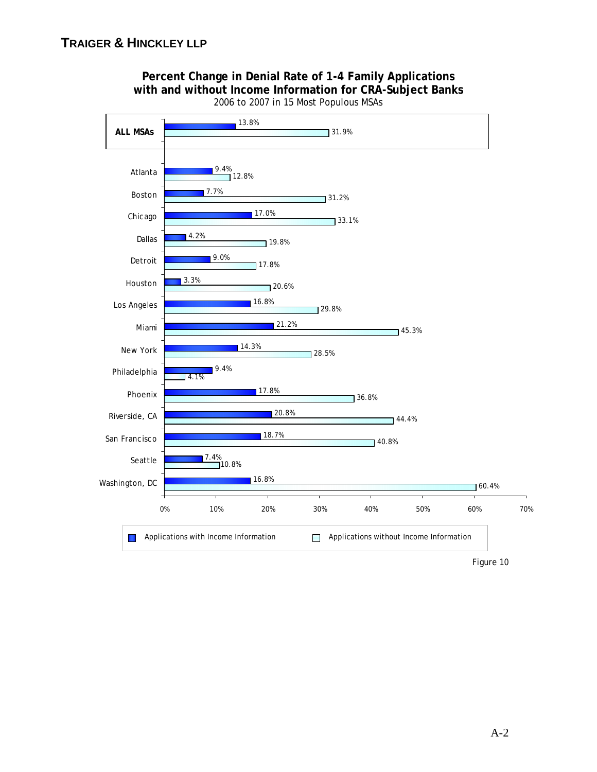

### **Percent Change in Denial Rate of 1-4 Family Applications with and without Income Information for CRA-Subject Banks**  2006 to 2007 in 15 Most Populous MSAs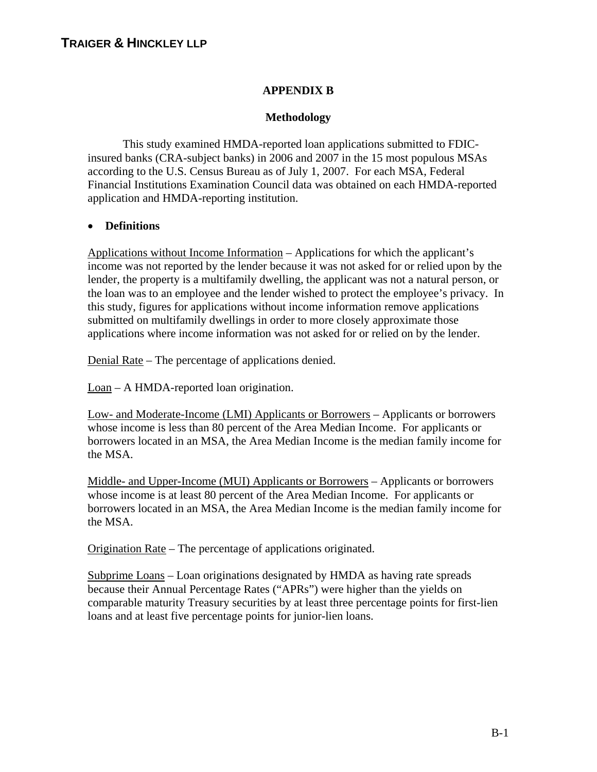### **APPENDIX B**

### **Methodology**

This study examined HMDA-reported loan applications submitted to FDICinsured banks (CRA-subject banks) in 2006 and 2007 in the 15 most populous MSAs according to the U.S. Census Bureau as of July 1, 2007. For each MSA, Federal Financial Institutions Examination Council data was obtained on each HMDA-reported application and HMDA-reporting institution.

### • **Definitions**

Applications without Income Information – Applications for which the applicant's income was not reported by the lender because it was not asked for or relied upon by the lender, the property is a multifamily dwelling, the applicant was not a natural person, or the loan was to an employee and the lender wished to protect the employee's privacy. In this study, figures for applications without income information remove applications submitted on multifamily dwellings in order to more closely approximate those applications where income information was not asked for or relied on by the lender.

Denial Rate – The percentage of applications denied.

Loan – A HMDA-reported loan origination.

Low- and Moderate-Income (LMI) Applicants or Borrowers – Applicants or borrowers whose income is less than 80 percent of the Area Median Income. For applicants or borrowers located in an MSA, the Area Median Income is the median family income for the MSA.

Middle- and Upper-Income (MUI) Applicants or Borrowers – Applicants or borrowers whose income is at least 80 percent of the Area Median Income. For applicants or borrowers located in an MSA, the Area Median Income is the median family income for the MSA.

Origination Rate – The percentage of applications originated.

Subprime Loans – Loan originations designated by HMDA as having rate spreads because their Annual Percentage Rates ("APRs") were higher than the yields on comparable maturity Treasury securities by at least three percentage points for first-lien loans and at least five percentage points for junior-lien loans.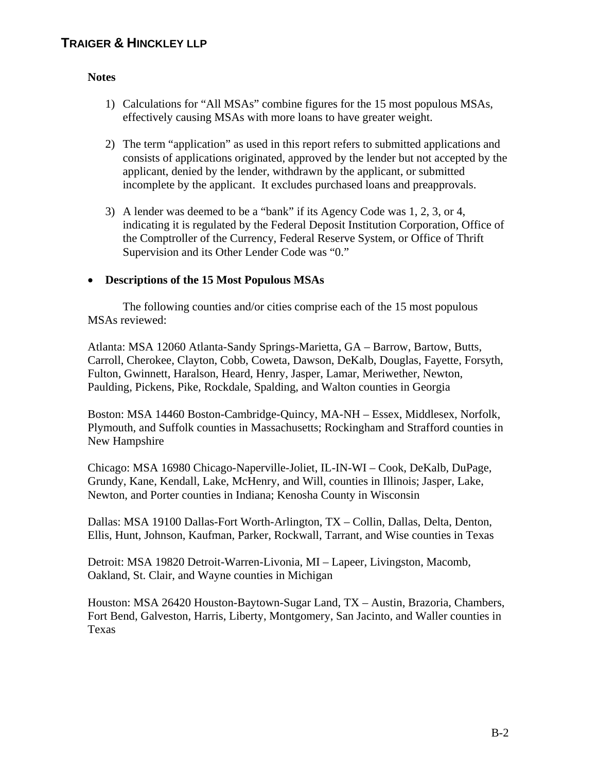### **Notes**

- 1) Calculations for "All MSAs" combine figures for the 15 most populous MSAs, effectively causing MSAs with more loans to have greater weight.
- 2) The term "application" as used in this report refers to submitted applications and consists of applications originated, approved by the lender but not accepted by the applicant, denied by the lender, withdrawn by the applicant, or submitted incomplete by the applicant. It excludes purchased loans and preapprovals.
- 3) A lender was deemed to be a "bank" if its Agency Code was 1, 2, 3, or 4, indicating it is regulated by the Federal Deposit Institution Corporation, Office of the Comptroller of the Currency, Federal Reserve System, or Office of Thrift Supervision and its Other Lender Code was "0."

### • **Descriptions of the 15 Most Populous MSAs**

The following counties and/or cities comprise each of the 15 most populous MSAs reviewed:

Atlanta: MSA 12060 Atlanta-Sandy Springs-Marietta, GA – Barrow, Bartow, Butts, Carroll, Cherokee, Clayton, Cobb, Coweta, Dawson, DeKalb, Douglas, Fayette, Forsyth, Fulton, Gwinnett, Haralson, Heard, Henry, Jasper, Lamar, Meriwether, Newton, Paulding, Pickens, Pike, Rockdale, Spalding, and Walton counties in Georgia

Boston: MSA 14460 Boston-Cambridge-Quincy, MA-NH – Essex, Middlesex, Norfolk, Plymouth, and Suffolk counties in Massachusetts; Rockingham and Strafford counties in New Hampshire

Chicago: MSA 16980 Chicago-Naperville-Joliet, IL-IN-WI – Cook, DeKalb, DuPage, Grundy, Kane, Kendall, Lake, McHenry, and Will, counties in Illinois; Jasper, Lake, Newton, and Porter counties in Indiana; Kenosha County in Wisconsin

Dallas: MSA 19100 Dallas-Fort Worth-Arlington, TX – Collin, Dallas, Delta, Denton, Ellis, Hunt, Johnson, Kaufman, Parker, Rockwall, Tarrant, and Wise counties in Texas

Detroit: MSA 19820 Detroit-Warren-Livonia, MI – Lapeer, Livingston, Macomb, Oakland, St. Clair, and Wayne counties in Michigan

Houston: MSA 26420 Houston-Baytown-Sugar Land, TX – Austin, Brazoria, Chambers, Fort Bend, Galveston, Harris, Liberty, Montgomery, San Jacinto, and Waller counties in Texas